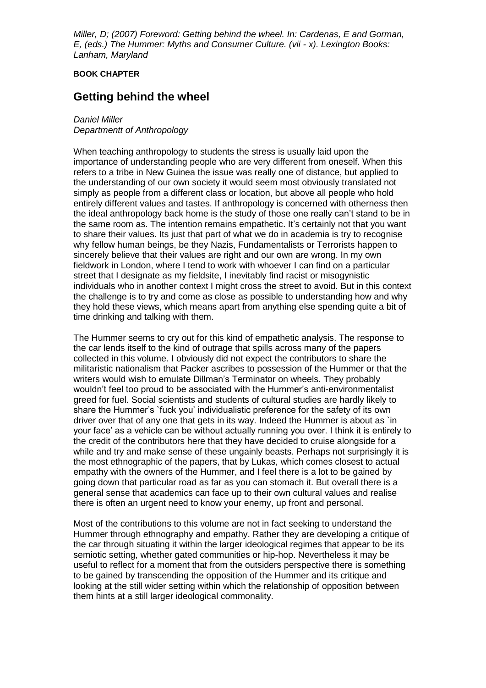*Miller, D; (2007) Foreword: Getting behind the wheel. In: Cardenas, E and Gorman, E, (eds.) The Hummer: Myths and Consumer Culture. (vii - x). Lexington Books: Lanham, Maryland*

## **BOOK CHAPTER**

## **Getting behind the wheel**

## *Daniel Miller*

*Departmentt of Anthropology*

When teaching anthropology to students the stress is usually laid upon the importance of understanding people who are very different from oneself. When this refers to a tribe in New Guinea the issue was really one of distance, but applied to the understanding of our own society it would seem most obviously translated not simply as people from a different class or location, but above all people who hold entirely different values and tastes. If anthropology is concerned with otherness then the ideal anthropology back home is the study of those one really can't stand to be in the same room as. The intention remains empathetic. It's certainly not that you want to share their values. Its just that part of what we do in academia is try to recognise why fellow human beings, be they Nazis, Fundamentalists or Terrorists happen to sincerely believe that their values are right and our own are wrong. In my own fieldwork in London, where I tend to work with whoever I can find on a particular street that I designate as my fieldsite, I inevitably find racist or misogynistic individuals who in another context I might cross the street to avoid. But in this context the challenge is to try and come as close as possible to understanding how and why they hold these views, which means apart from anything else spending quite a bit of time drinking and talking with them.

The Hummer seems to cry out for this kind of empathetic analysis. The response to the car lends itself to the kind of outrage that spills across many of the papers collected in this volume. I obviously did not expect the contributors to share the militaristic nationalism that Packer ascribes to possession of the Hummer or that the writers would wish to emulate Dillman's Terminator on wheels. They probably wouldn't feel too proud to be associated with the Hummer's anti-environmentalist greed for fuel. Social scientists and students of cultural studies are hardly likely to share the Hummer's `fuck you' individualistic preference for the safety of its own driver over that of any one that gets in its way. Indeed the Hummer is about as `in your face' as a vehicle can be without actually running you over. I think it is entirely to the credit of the contributors here that they have decided to cruise alongside for a while and try and make sense of these ungainly beasts. Perhaps not surprisingly it is the most ethnographic of the papers, that by Lukas, which comes closest to actual empathy with the owners of the Hummer, and I feel there is a lot to be gained by going down that particular road as far as you can stomach it. But overall there is a general sense that academics can face up to their own cultural values and realise there is often an urgent need to know your enemy, up front and personal.

Most of the contributions to this volume are not in fact seeking to understand the Hummer through ethnography and empathy. Rather they are developing a critique of the car through situating it within the larger ideological regimes that appear to be its semiotic setting, whether gated communities or hip-hop. Nevertheless it may be useful to reflect for a moment that from the outsiders perspective there is something to be gained by transcending the opposition of the Hummer and its critique and looking at the still wider setting within which the relationship of opposition between them hints at a still larger ideological commonality.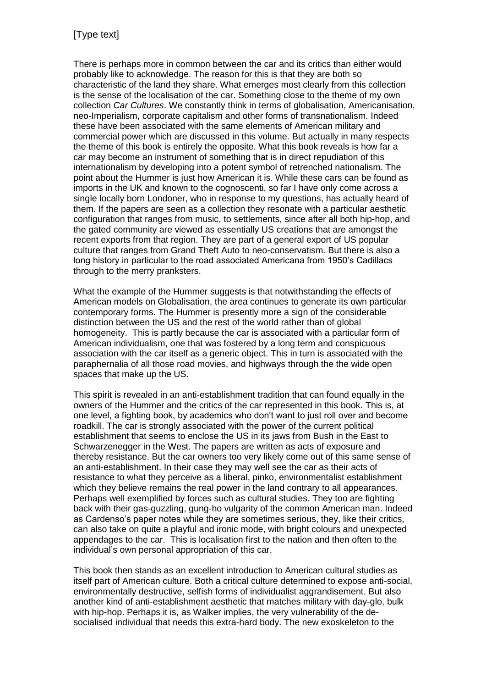There is perhaps more in common between the car and its critics than either would probably like to acknowledge. The reason for this is that they are both so characteristic of the land they share. What emerges most clearly from this collection is the sense of the localisation of the car. Something close to the theme of my own collection *Car Cultures*. We constantly think in terms of globalisation, Americanisation, neo-Imperialism, corporate capitalism and other forms of transnationalism. Indeed these have been associated with the same elements of American military and commercial power which are discussed in this volume. But actually in many respects the theme of this book is entirely the opposite. What this book reveals is how far a car may become an instrument of something that is in direct repudiation of this internationalism by developing into a potent symbol of retrenched nationalism. The point about the Hummer is just how American it is. While these cars can be found as imports in the UK and known to the cognoscenti, so far I have only come across a single locally born Londoner, who in response to my questions, has actually heard of them. If the papers are seen as a collection they resonate with a particular aesthetic configuration that ranges from music, to settlements, since after all both hip-hop, and the gated community are viewed as essentially US creations that are amongst the recent exports from that region. They are part of a general export of US popular culture that ranges from Grand Theft Auto to neo-conservatism. But there is also a long history in particular to the road associated Americana from 1950's Cadillacs through to the merry pranksters.

What the example of the Hummer suggests is that notwithstanding the effects of American models on Globalisation, the area continues to generate its own particular contemporary forms. The Hummer is presently more a sign of the considerable distinction between the US and the rest of the world rather than of global homogeneity. This is partly because the car is associated with a particular form of American individualism, one that was fostered by a long term and conspicuous association with the car itself as a generic object. This in turn is associated with the paraphernalia of all those road movies, and highways through the the wide open spaces that make up the US.

This spirit is revealed in an anti-establishment tradition that can found equally in the owners of the Hummer and the critics of the car represented in this book. This is, at one level, a fighting book, by academics who don't want to just roll over and become roadkill. The car is strongly associated with the power of the current political establishment that seems to enclose the US in its jaws from Bush in the East to Schwarzenegger in the West. The papers are written as acts of exposure and thereby resistance. But the car owners too very likely come out of this same sense of an anti-establishment. In their case they may well see the car as their acts of resistance to what they perceive as a liberal, pinko, environmentalist establishment which they believe remains the real power in the land contrary to all appearances. Perhaps well exemplified by forces such as cultural studies. They too are fighting back with their gas-guzzling, gung-ho vulgarity of the common American man. Indeed as Cardenso's paper notes while they are sometimes serious, they, like their critics, can also take on quite a playful and ironic mode, with bright colours and unexpected appendages to the car. This is localisation first to the nation and then often to the individual's own personal appropriation of this car.

This book then stands as an excellent introduction to American cultural studies as itself part of American culture. Both a critical culture determined to expose anti-social, environmentally destructive, selfish forms of individualist aggrandisement. But also another kind of anti-establishment aesthetic that matches military with day-glo, bulk with hip-hop. Perhaps it is, as Walker implies, the very vulnerability of the desocialised individual that needs this extra-hard body. The new exoskeleton to the